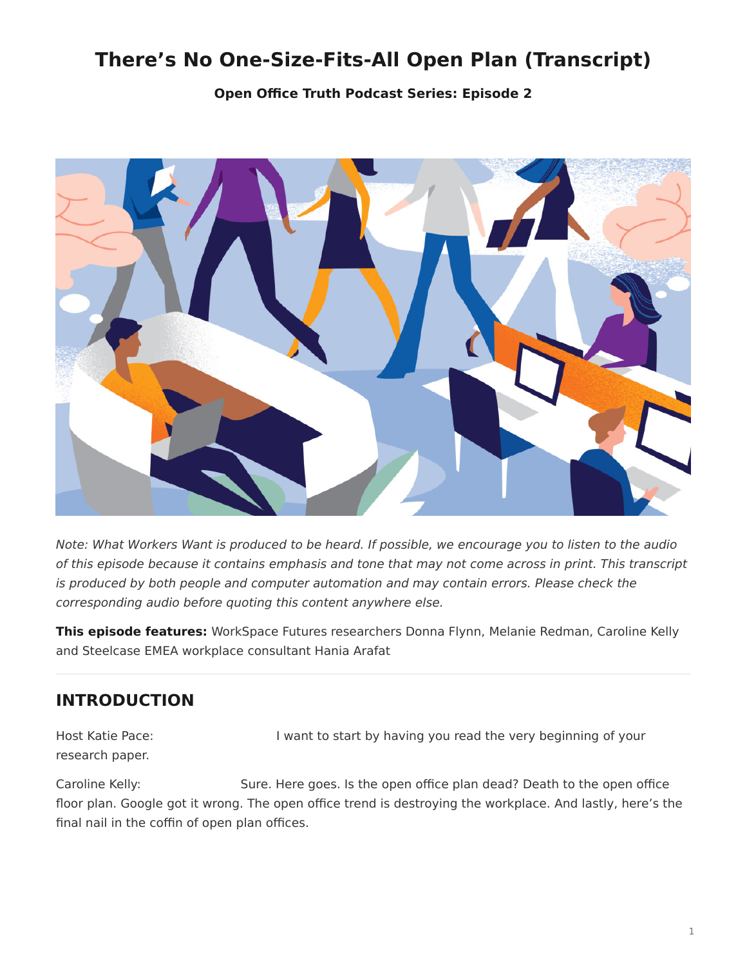# <span id="page-0-0"></span>**There's No One-Size-Fits-All Open Plan (Transcript)**

**[Open Office Truth Podcast Series:](https://www.steelcase.com/research/openofficetruth) Episode 2**



*Note: What Workers Want is produced to be heard. If possible, we encourage you to listen to the audio of this episode because it contains emphasis and tone that may not come across in print. This transcript is produced by both people and computer automation and may contain errors. Please check the corresponding audio before quoting this content anywhere else.*

**This episode features:** WorkSpace Futures researchers Donna Flynn, Melanie Redman, Caroline Kelly and Steelcase EMEA workplace consultant Hania Arafat

# **INTRODUCTION**

Host Katie Pace: I want to start by having you read the very beginning of your research paper.

Caroline Kelly: Sure. Here goes. Is the open office plan dead? Death to the open office floor plan. Google got it wrong. The open office trend is destroying the workplace. And lastly, here's the final nail in the coffin of open plan offices.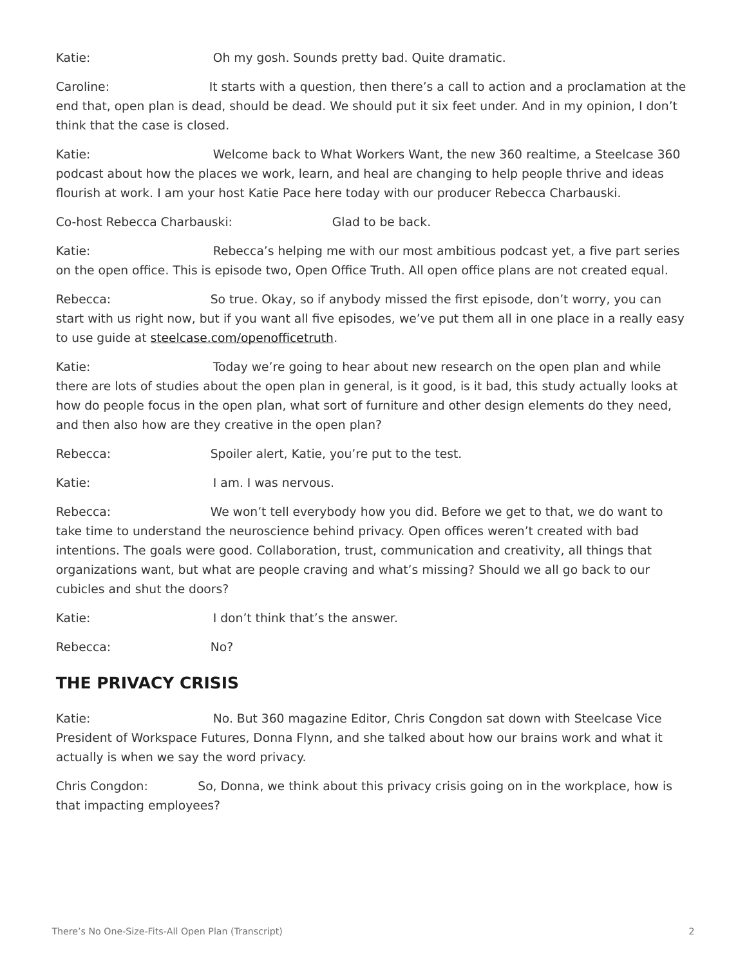Katie: Oh my gosh. Sounds pretty bad. Quite dramatic.

Caroline: It starts with a question, then there's a call to action and a proclamation at the end that, open plan is dead, should be dead. We should put it six feet under. And in my opinion, I don't think that the case is closed.

Katie: Welcome back to What Workers Want, the new 360 realtime, a Steelcase 360 podcast about how the places we work, learn, and heal are changing to help people thrive and ideas flourish at work. I am your host Katie Pace here today with our producer Rebecca Charbauski.

Co-host Rebecca Charbauski: Glad to be back.

Katie: Rebecca's helping me with our most ambitious podcast yet, a five part series on the open office. This is episode two, Open Office Truth. All open office plans are not created equal.

Rebecca: So true. Okay, so if anybody missed the first episode, don't worry, you can start with us right now, but if you want all five episodes, we've put them all in one place in a really easy to use guide at [steelcase.com/openofficetruth.](http://www.steelcase.com/openofficetruth)

Katie: Today we're going to hear about new research on the open plan and while there are lots of studies about the open plan in general, is it good, is it bad, this study actually looks at how do people focus in the open plan, what sort of furniture and other design elements do they need, and then also how are they creative in the open plan?

Rebecca: Spoiler alert, Katie, you're put to the test.

Katie: I am. I was nervous.

Rebecca: We won't tell everybody how you did. Before we get to that, we do want to take time to understand the neuroscience behind privacy. Open offices weren't created with bad intentions. The goals were good. Collaboration, trust, communication and creativity, all things that organizations want, but what are people craving and what's missing? Should we all go back to our cubicles and shut the doors?

Katie:  $I$  don't think that's the answer.

Rebecca: No?

# **THE PRIVACY CRISIS**

Katie: No. But 360 magazine Editor, Chris Congdon sat down with Steelcase Vice President of Workspace Futures, Donna Flynn, and she talked about how our brains work and what it actually is when we say the word privacy.

Chris Congdon: So, Donna, we think about this privacy crisis going on in the workplace, how is that impacting employees?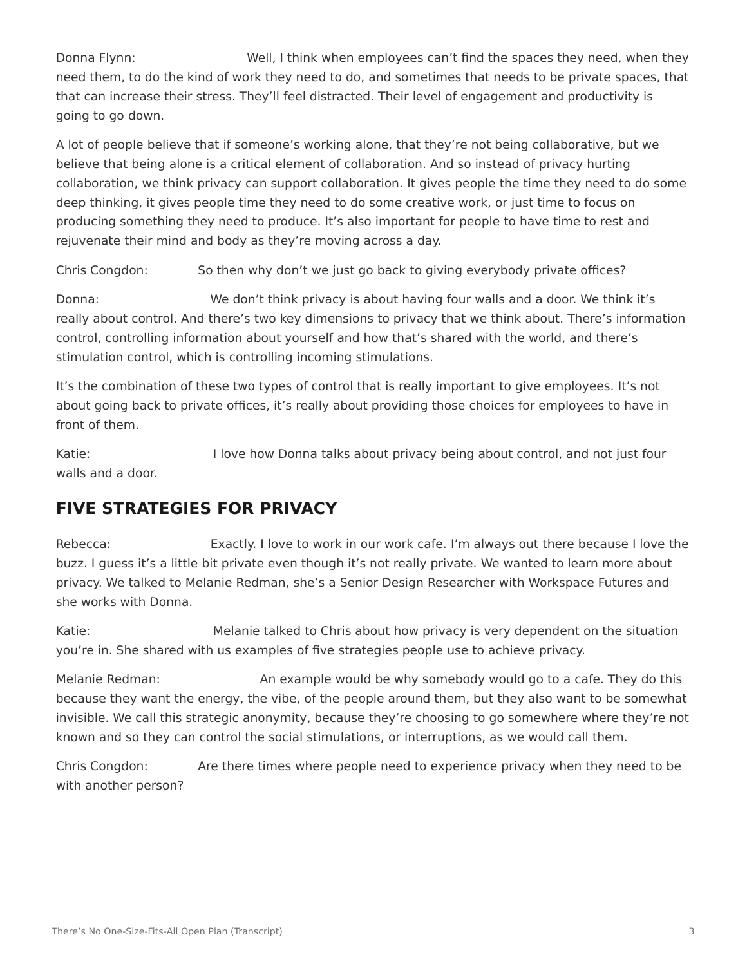Donna Flynn: Well, I think when employees can't find the spaces they need, when they need them, to do the kind of work they need to do, and sometimes that needs to be private spaces, that that can increase their stress. They'll feel distracted. Their level of engagement and productivity is going to go down.

A lot of people believe that if someone's working alone, that they're not being collaborative, but we believe that being alone is a critical element of collaboration. And so instead of privacy hurting collaboration, we think privacy can support collaboration. It gives people the time they need to do some deep thinking, it gives people time they need to do some creative work, or just time to focus on producing something they need to produce. It's also important for people to have time to rest and rejuvenate their mind and body as they're moving across a day.

Chris Congdon: So then why don't we just go back to giving everybody private offices?

Donna: We don't think privacy is about having four walls and a door. We think it's really about control. And there's two key dimensions to privacy that we think about. There's information control, controlling information about yourself and how that's shared with the world, and there's stimulation control, which is controlling incoming stimulations.

It's the combination of these two types of control that is really important to give employees. It's not about going back to private offices, it's really about providing those choices for employees to have in front of them.

Katie: I love how Donna talks about privacy being about control, and not just four walls and a door.

# **FIVE STRATEGIES FOR PRIVACY**

Rebecca: Exactly. I love to work in our work cafe. I'm always out there because I love the buzz. I guess it's a little bit private even though it's not really private. We wanted to learn more about privacy. We talked to Melanie Redman, she's a Senior Design Researcher with Workspace Futures and she works with Donna.

Katie: Melanie talked to Chris about how privacy is very dependent on the situation you're in. She shared with us examples of five strategies people use to achieve privacy.

Melanie Redman: An example would be why somebody would go to a cafe. They do this because they want the energy, the vibe, of the people around them, but they also want to be somewhat invisible. We call this strategic anonymity, because they're choosing to go somewhere where they're not known and so they can control the social stimulations, or interruptions, as we would call them.

Chris Congdon: Are there times where people need to experience privacy when they need to be with another person?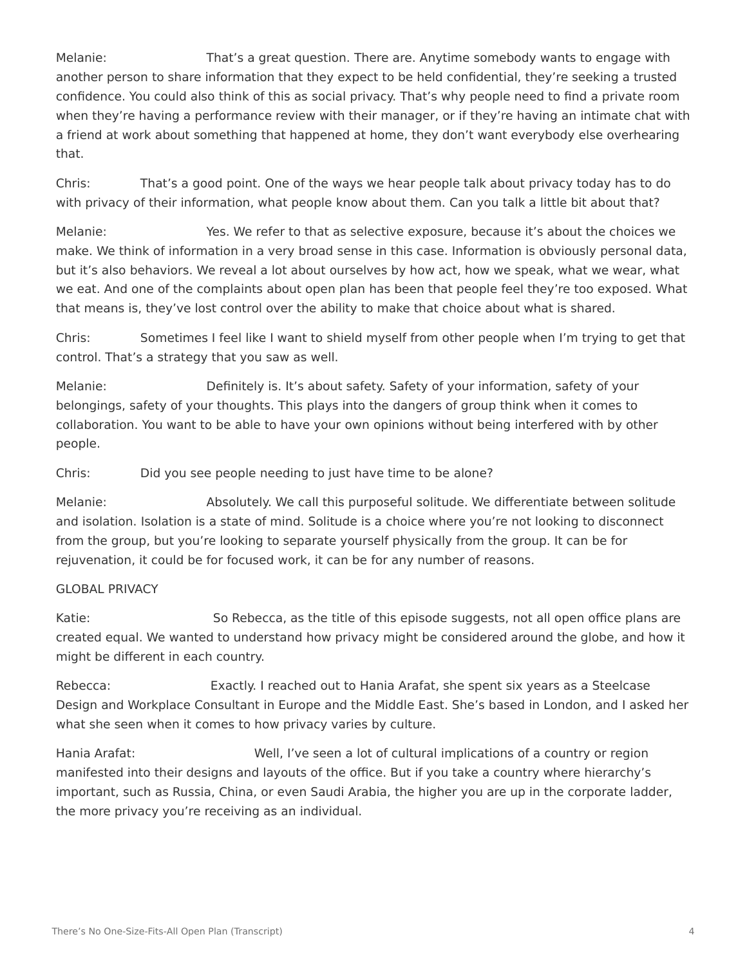Melanie: That's a great question. There are. Anytime somebody wants to engage with another person to share information that they expect to be held confidential, they're seeking a trusted confidence. You could also think of this as social privacy. That's why people need to find a private room when they're having a performance review with their manager, or if they're having an intimate chat with a friend at work about something that happened at home, they don't want everybody else overhearing that.

Chris: That's a good point. One of the ways we hear people talk about privacy today has to do with privacy of their information, what people know about them. Can you talk a little bit about that?

Melanie: Yes. We refer to that as selective exposure, because it's about the choices we make. We think of information in a very broad sense in this case. Information is obviously personal data, but it's also behaviors. We reveal a lot about ourselves by how act, how we speak, what we wear, what we eat. And one of the complaints about open plan has been that people feel they're too exposed. What that means is, they've lost control over the ability to make that choice about what is shared.

Chris: Sometimes I feel like I want to shield myself from other people when I'm trying to get that control. That's a strategy that you saw as well.

Melanie: Definitely is. It's about safety. Safety of your information, safety of your belongings, safety of your thoughts. This plays into the dangers of group think when it comes to collaboration. You want to be able to have your own opinions without being interfered with by other people.

Chris: Did you see people needing to just have time to be alone?

Melanie: Absolutely. We call this purposeful solitude. We differentiate between solitude and isolation. Isolation is a state of mind. Solitude is a choice where you're not looking to disconnect from the group, but you're looking to separate yourself physically from the group. It can be for rejuvenation, it could be for focused work, it can be for any number of reasons.

#### GLOBAL PRIVACY

Katie: So Rebecca, as the title of this episode suggests, not all open office plans are created equal. We wanted to understand how privacy might be considered around the globe, and how it might be different in each country.

Rebecca: Exactly. I reached out to Hania Arafat, she spent six years as a Steelcase Design and Workplace Consultant in Europe and the Middle East. She's based in London, and I asked her what she seen when it comes to how privacy varies by culture.

Hania Arafat: Well, I've seen a lot of cultural implications of a country or region manifested into their designs and layouts of the office. But if you take a country where hierarchy's important, such as Russia, China, or even Saudi Arabia, the higher you are up in the corporate ladder, the more privacy you're receiving as an individual.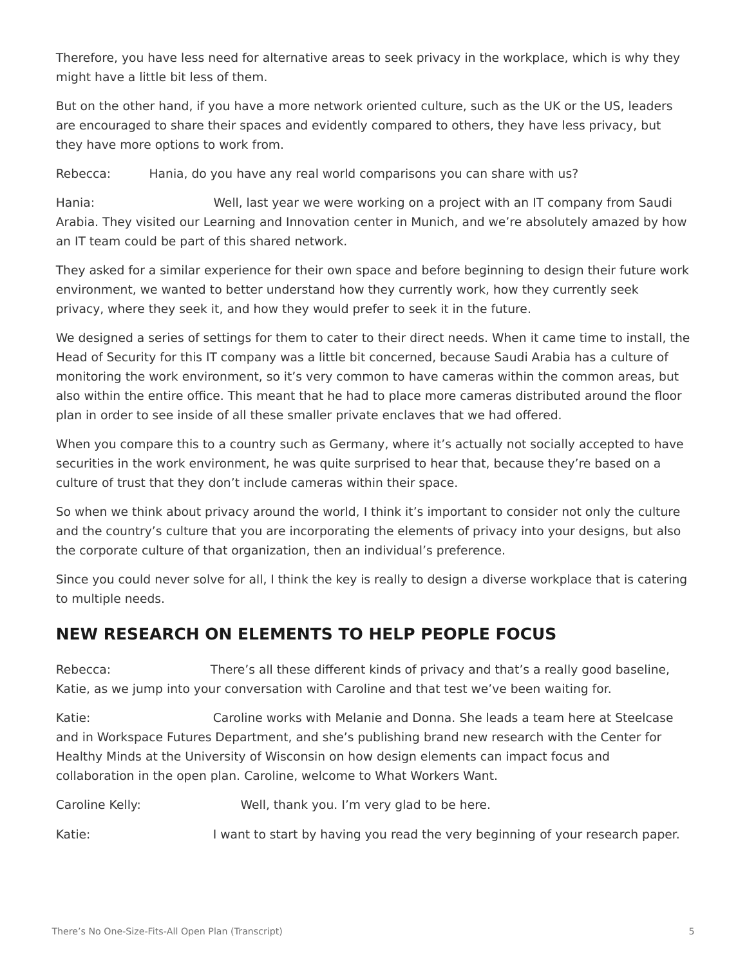Therefore, you have less need for alternative areas to seek privacy in the workplace, which is why they might have a little bit less of them.

But on the other hand, if you have a more network oriented culture, such as the UK or the US, leaders are encouraged to share their spaces and evidently compared to others, they have less privacy, but they have more options to work from.

Rebecca: Hania, do you have any real world comparisons you can share with us?

Hania: Well, last year we were working on a project with an IT company from Saudi Arabia. They visited our Learning and Innovation center in Munich, and we're absolutely amazed by how an IT team could be part of this shared network.

They asked for a similar experience for their own space and before beginning to design their future work environment, we wanted to better understand how they currently work, how they currently seek privacy, where they seek it, and how they would prefer to seek it in the future.

We designed a series of settings for them to cater to their direct needs. When it came time to install, the Head of Security for this IT company was a little bit concerned, because Saudi Arabia has a culture of monitoring the work environment, so it's very common to have cameras within the common areas, but also within the entire office. This meant that he had to place more cameras distributed around the floor plan in order to see inside of all these smaller private enclaves that we had offered.

When you compare this to a country such as Germany, where it's actually not socially accepted to have securities in the work environment, he was quite surprised to hear that, because they're based on a culture of trust that they don't include cameras within their space.

So when we think about privacy around the world, I think it's important to consider not only the culture and the country's culture that you are incorporating the elements of privacy into your designs, but also the corporate culture of that organization, then an individual's preference.

Since you could never solve for all, I think the key is really to design a diverse workplace that is catering to multiple needs.

# **NEW RESEARCH ON ELEMENTS TO HELP PEOPLE FOCUS**

Rebecca: There's all these different kinds of privacy and that's a really good baseline, Katie, as we jump into your conversation with Caroline and that test we've been waiting for.

Katie: Caroline works with Melanie and Donna. She leads a team here at Steelcase and in Workspace Futures Department, and she's publishing brand new research with the Center for Healthy Minds at the University of Wisconsin on how design elements can impact focus and collaboration in the open plan. Caroline, welcome to What Workers Want.

Caroline Kelly: Well, thank you. I'm very glad to be here.

Katie: **I** want to start by having you read the very beginning of your research paper.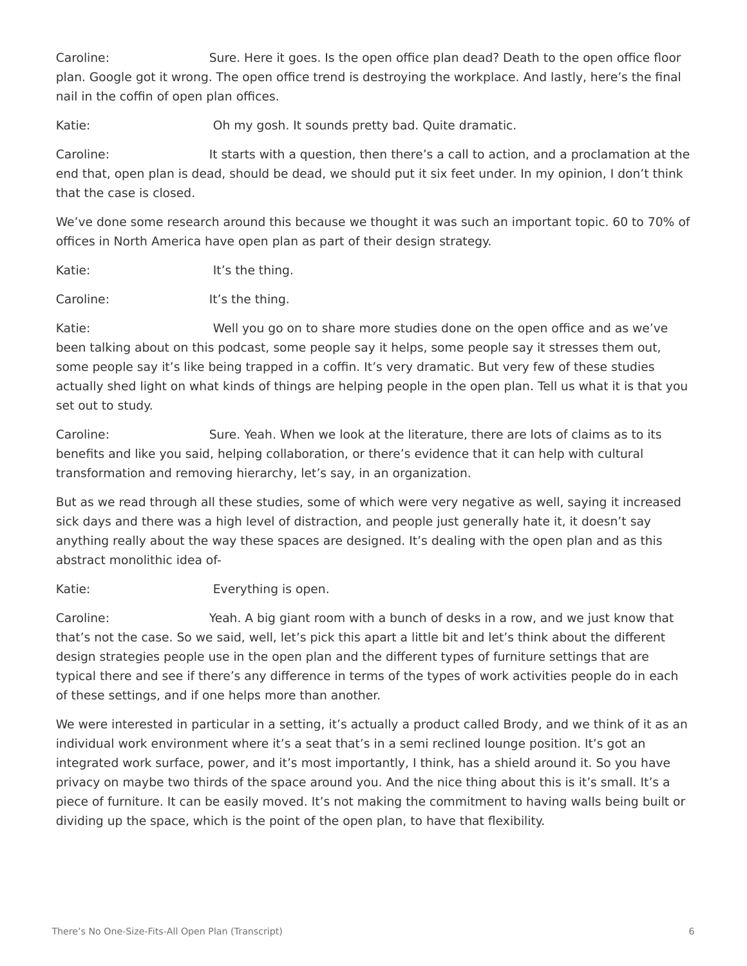Caroline: Sure. Here it goes. Is the open office plan dead? Death to the open office floor plan. Google got it wrong. The open office trend is destroying the workplace. And lastly, here's the final nail in the coffin of open plan offices.

Katie: Oh my gosh. It sounds pretty bad. Quite dramatic.

Caroline: It starts with a question, then there's a call to action, and a proclamation at the end that, open plan is dead, should be dead, we should put it six feet under. In my opinion, I don't think that the case is closed.

We've done some research around this because we thought it was such an important topic. 60 to 70% of offices in North America have open plan as part of their design strategy.

Katie: It's the thing.

Caroline: It's the thing.

Katie: Well you go on to share more studies done on the open office and as we've been talking about on this podcast, some people say it helps, some people say it stresses them out, some people say it's like being trapped in a coffin. It's very dramatic. But very few of these studies actually shed light on what kinds of things are helping people in the open plan. Tell us what it is that you set out to study.

Caroline: Sure. Yeah. When we look at the literature, there are lots of claims as to its benefits and like you said, helping collaboration, or there's evidence that it can help with cultural transformation and removing hierarchy, let's say, in an organization.

But as we read through all these studies, some of which were very negative as well, saying it increased sick days and there was a high level of distraction, and people just generally hate it, it doesn't say anything really about the way these spaces are designed. It's dealing with the open plan and as this abstract monolithic idea of-

Katie: **Everything** is open.

Caroline: Yeah. A big giant room with a bunch of desks in a row, and we just know that that's not the case. So we said, well, let's pick this apart a little bit and let's think about the different design strategies people use in the open plan and the different types of furniture settings that are typical there and see if there's any difference in terms of the types of work activities people do in each of these settings, and if one helps more than another.

We were interested in particular in a setting, it's actually a product called Brody, and we think of it as an individual work environment where it's a seat that's in a semi reclined lounge position. It's got an integrated work surface, power, and it's most importantly, I think, has a shield around it. So you have privacy on maybe two thirds of the space around you. And the nice thing about this is it's small. It's a piece of furniture. It can be easily moved. It's not making the commitment to having walls being built or dividing up the space, which is the point of the open plan, to have that flexibility.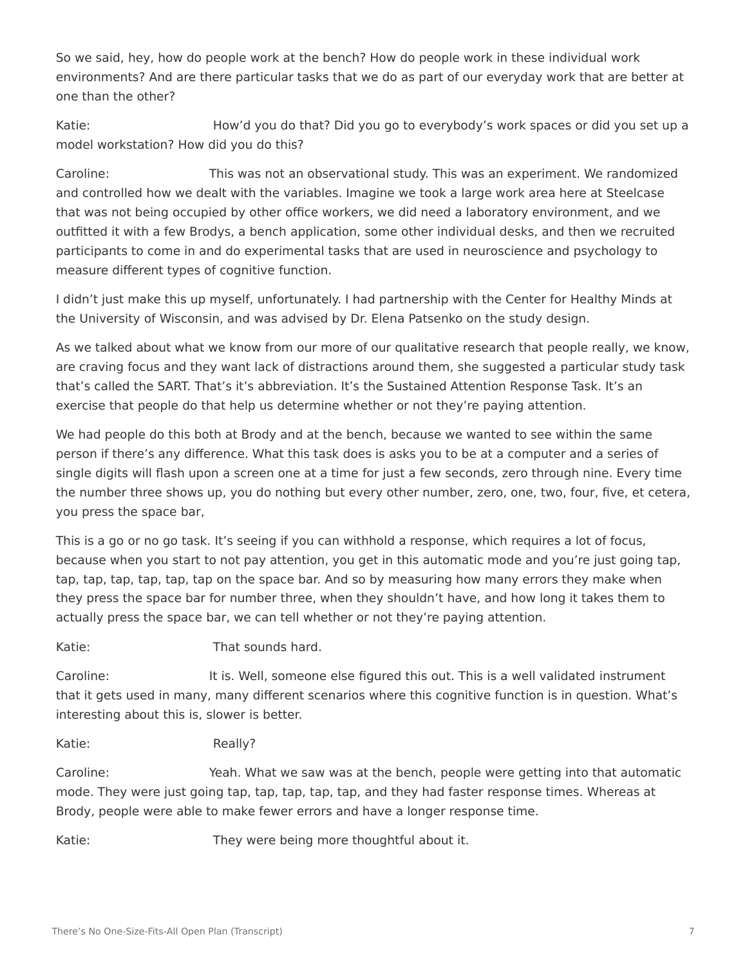So we said, hey, how do people work at the bench? How do people work in these individual work environments? And are there particular tasks that we do as part of our everyday work that are better at one than the other?

Katie: How'd you do that? Did you go to everybody's work spaces or did you set up a model workstation? How did you do this?

Caroline: This was not an observational study. This was an experiment. We randomized and controlled how we dealt with the variables. Imagine we took a large work area here at Steelcase that was not being occupied by other office workers, we did need a laboratory environment, and we outfitted it with a few Brodys, a bench application, some other individual desks, and then we recruited participants to come in and do experimental tasks that are used in neuroscience and psychology to measure different types of cognitive function.

I didn't just make this up myself, unfortunately. I had partnership with the Center for Healthy Minds at the University of Wisconsin, and was advised by Dr. Elena Patsenko on the study design.

As we talked about what we know from our more of our qualitative research that people really, we know, are craving focus and they want lack of distractions around them, she suggested a particular study task that's called the SART. That's it's abbreviation. It's the Sustained Attention Response Task. It's an exercise that people do that help us determine whether or not they're paying attention.

We had people do this both at Brody and at the bench, because we wanted to see within the same person if there's any difference. What this task does is asks you to be at a computer and a series of single digits will flash upon a screen one at a time for just a few seconds, zero through nine. Every time the number three shows up, you do nothing but every other number, zero, one, two, four, five, et cetera, you press the space bar,

This is a go or no go task. It's seeing if you can withhold a response, which requires a lot of focus, because when you start to not pay attention, you get in this automatic mode and you're just going tap, tap, tap, tap, tap, tap, tap on the space bar. And so by measuring how many errors they make when they press the space bar for number three, when they shouldn't have, and how long it takes them to actually press the space bar, we can tell whether or not they're paying attention.

Katie: That sounds hard.

Caroline: It is. Well, someone else figured this out. This is a well validated instrument that it gets used in many, many different scenarios where this cognitive function is in question. What's interesting about this is, slower is better.

Katie: Really?

Caroline: Yeah. What we saw was at the bench, people were getting into that automatic mode. They were just going tap, tap, tap, tap, tap, and they had faster response times. Whereas at Brody, people were able to make fewer errors and have a longer response time.

Katie: They were being more thoughtful about it.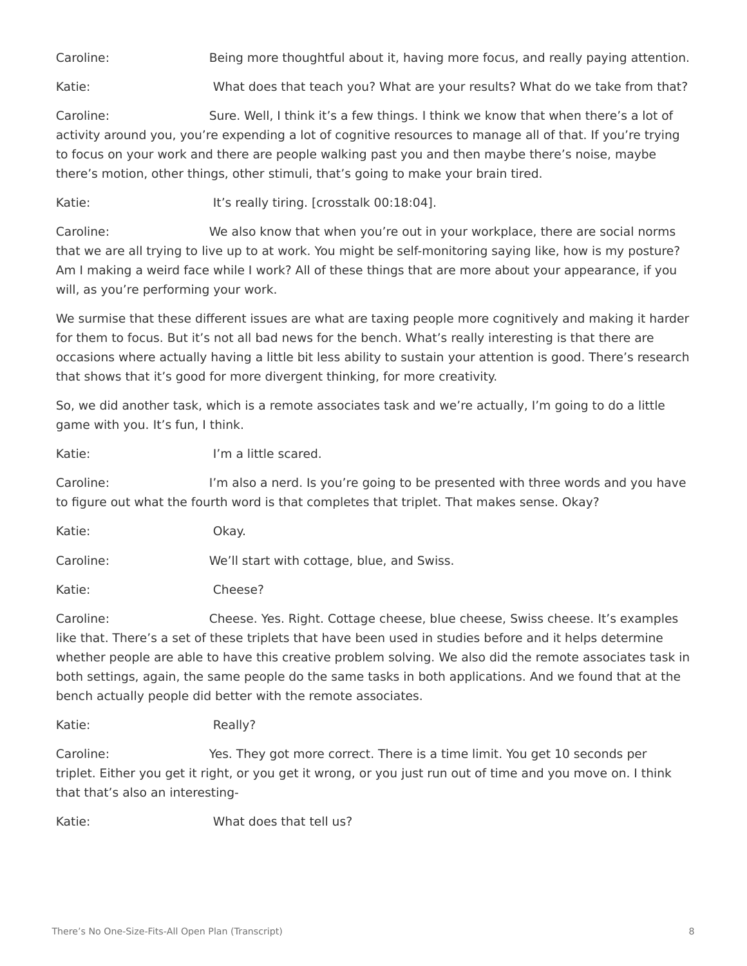Caroline: Being more thoughtful about it, having more focus, and really paying attention.

Katie: **What does that teach you? What are your results?** What do we take from that?

Caroline: Sure. Well, I think it's a few things. I think we know that when there's a lot of activity around you, you're expending a lot of cognitive resources to manage all of that. If you're trying to focus on your work and there are people walking past you and then maybe there's noise, maybe there's motion, other things, other stimuli, that's going to make your brain tired.

Katie: It's really tiring. [crosstalk 00:18:04].

Caroline: We also know that when you're out in your workplace, there are social norms that we are all trying to live up to at work. You might be self-monitoring saying like, how is my posture? Am I making a weird face while I work? All of these things that are more about your appearance, if you will, as you're performing your work.

We surmise that these different issues are what are taxing people more cognitively and making it harder for them to focus. But it's not all bad news for the bench. What's really interesting is that there are occasions where actually having a little bit less ability to sustain your attention is good. There's research that shows that it's good for more divergent thinking, for more creativity.

So, we did another task, which is a remote associates task and we're actually, I'm going to do a little game with you. It's fun, I think.

Katie: I'm a little scared.

Caroline: I'm also a nerd. Is you're going to be presented with three words and you have to figure out what the fourth word is that completes that triplet. That makes sense. Okay?

Katie: Okay. Caroline: We'll start with cottage, blue, and Swiss.

Katie: Cheese?

Caroline: Cheese. Yes. Right. Cottage cheese, blue cheese, Swiss cheese. It's examples like that. There's a set of these triplets that have been used in studies before and it helps determine whether people are able to have this creative problem solving. We also did the remote associates task in both settings, again, the same people do the same tasks in both applications. And we found that at the bench actually people did better with the remote associates.

Katie: Really?

Caroline: Yes. They got more correct. There is a time limit. You get 10 seconds per triplet. Either you get it right, or you get it wrong, or you just run out of time and you move on. I think that that's also an interesting-

Katie: What does that tell us?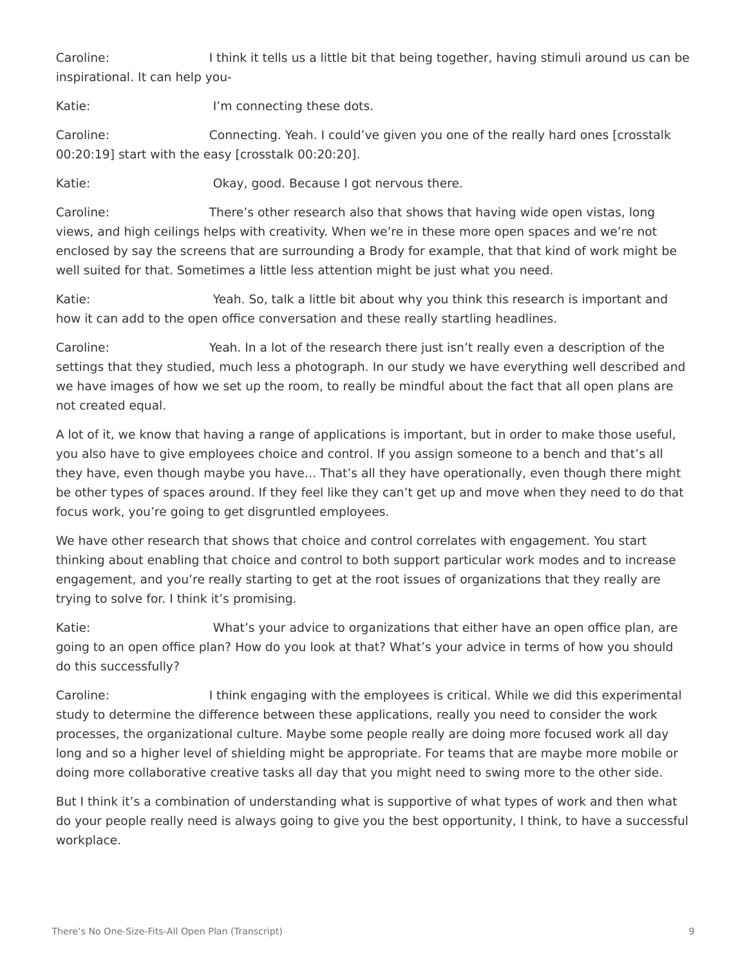Caroline: I think it tells us a little bit that being together, having stimuli around us can be inspirational. It can help you-

Katie: I'm connecting these dots.

Caroline: Connecting. Yeah. I could've given you one of the really hard ones [crosstalk 00:20:19] start with the easy [crosstalk 00:20:20].

Katie: Chav, good. Because I got nervous there.

Caroline: There's other research also that shows that having wide open vistas, long views, and high ceilings helps with creativity. When we're in these more open spaces and we're not enclosed by say the screens that are surrounding a Brody for example, that that kind of work might be well suited for that. Sometimes a little less attention might be just what you need.

Katie: Yeah. So, talk a little bit about why you think this research is important and how it can add to the open office conversation and these really startling headlines.

Caroline: Yeah. In a lot of the research there just isn't really even a description of the settings that they studied, much less a photograph. In our study we have everything well described and we have images of how we set up the room, to really be mindful about the fact that all open plans are not created equal.

A lot of it, we know that having a range of applications is important, but in order to make those useful, you also have to give employees choice and control. If you assign someone to a bench and that's all they have, even though maybe you have… That's all they have operationally, even though there might be other types of spaces around. If they feel like they can't get up and move when they need to do that focus work, you're going to get disgruntled employees.

We have other research that shows that choice and control correlates with engagement. You start thinking about enabling that choice and control to both support particular work modes and to increase engagement, and you're really starting to get at the root issues of organizations that they really are trying to solve for. I think it's promising.

Katie: What's your advice to organizations that either have an open office plan, are going to an open office plan? How do you look at that? What's your advice in terms of how you should do this successfully?

Caroline: I think engaging with the employees is critical. While we did this experimental study to determine the difference between these applications, really you need to consider the work processes, the organizational culture. Maybe some people really are doing more focused work all day long and so a higher level of shielding might be appropriate. For teams that are maybe more mobile or doing more collaborative creative tasks all day that you might need to swing more to the other side.

But I think it's a combination of understanding what is supportive of what types of work and then what do your people really need is always going to give you the best opportunity, I think, to have a successful workplace.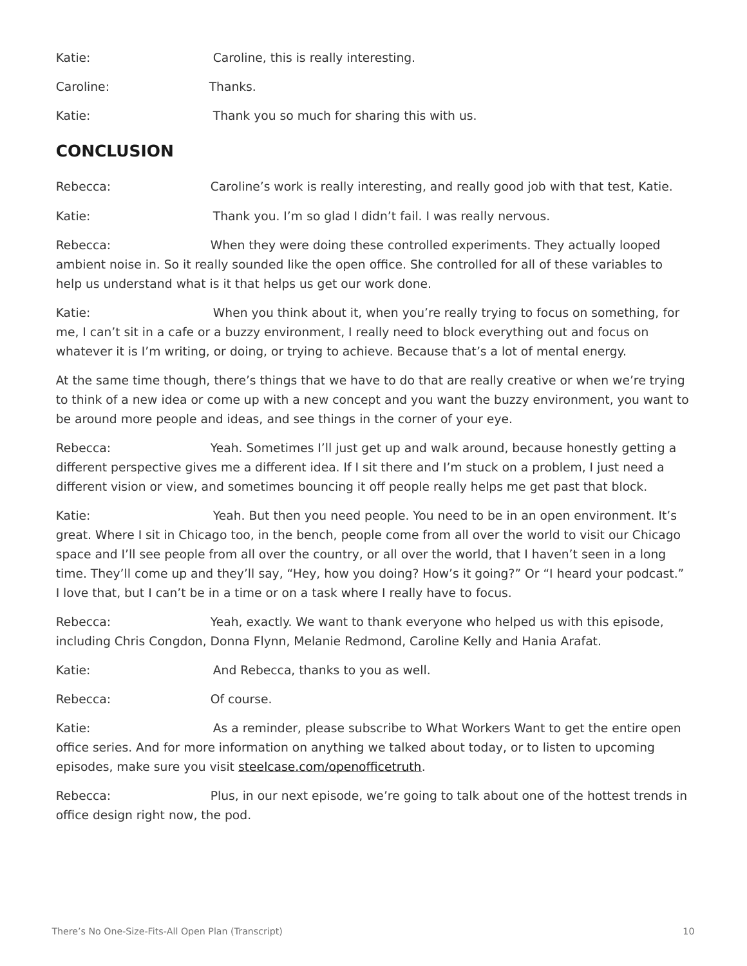| Katie:    | Caroline, this is really interesting.       |
|-----------|---------------------------------------------|
| Caroline: | Thanks.                                     |
| Katie:    | Thank you so much for sharing this with us. |

### **CONCLUSION**

Rebecca: Caroline's work is really interesting, and really good job with that test, Katie. Katie: Thank you. I'm so glad I didn't fail. I was really nervous.

Rebecca: When they were doing these controlled experiments. They actually looped ambient noise in. So it really sounded like the open office. She controlled for all of these variables to help us understand what is it that helps us get our work done.

Katie: When you think about it, when you're really trying to focus on something, for me, I can't sit in a cafe or a buzzy environment, I really need to block everything out and focus on whatever it is I'm writing, or doing, or trying to achieve. Because that's a lot of mental energy.

At the same time though, there's things that we have to do that are really creative or when we're trying to think of a new idea or come up with a new concept and you want the buzzy environment, you want to be around more people and ideas, and see things in the corner of your eye.

Rebecca: Yeah. Sometimes I'll just get up and walk around, because honestly getting a different perspective gives me a different idea. If I sit there and I'm stuck on a problem, I just need a different vision or view, and sometimes bouncing it off people really helps me get past that block.

Katie: Yeah. But then you need people. You need to be in an open environment. It's great. Where I sit in Chicago too, in the bench, people come from all over the world to visit our Chicago space and I'll see people from all over the country, or all over the world, that I haven't seen in a long time. They'll come up and they'll say, "Hey, how you doing? How's it going?" Or "I heard your podcast." I love that, but I can't be in a time or on a task where I really have to focus.

Rebecca: Yeah, exactly. We want to thank everyone who helped us with this episode, including Chris Congdon, Donna Flynn, Melanie Redmond, Caroline Kelly and Hania Arafat.

Katie: Katie: And Rebecca, thanks to you as well.

Rebecca: Of course.

Katie: As a reminder, please subscribe to What Workers Want to get the entire open office series. And for more information on anything we talked about today, or to listen to upcoming episodes, make sure you visit [steelcase.com/openofficetruth.](http://www.steelcase.com/openofficetruth)

Rebecca: Plus, in our next episode, we're going to talk about one of the hottest trends in office design right now, the pod.